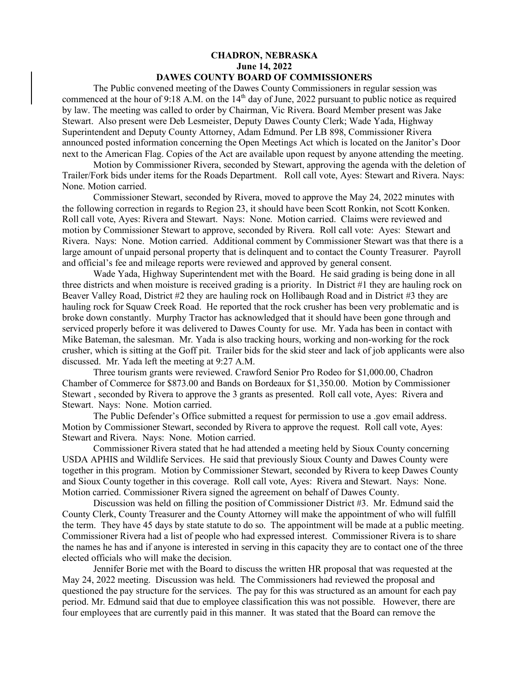## **CHADRON, NEBRASKA June 14, 2022 DAWES COUNTY BOARD OF COMMISSIONERS**

The Public convened meeting of the Dawes County Commissioners in regular session was commenced at the hour of 9:18 A.M. on the 14<sup>th</sup> day of June, 2022 pursuant to public notice as required by law. The meeting was called to order by Chairman, Vic Rivera. Board Member present was Jake Stewart. Also present were Deb Lesmeister, Deputy Dawes County Clerk; Wade Yada, Highway Superintendent and Deputy County Attorney, Adam Edmund. Per LB 898, Commissioner Rivera announced posted information concerning the Open Meetings Act which is located on the Janitor's Door next to the American Flag. Copies of the Act are available upon request by anyone attending the meeting.

Motion by Commissioner Rivera, seconded by Stewart, approving the agenda with the deletion of Trailer/Fork bids under items for the Roads Department. Roll call vote, Ayes: Stewart and Rivera. Nays: None. Motion carried.

Commissioner Stewart, seconded by Rivera, moved to approve the May 24, 2022 minutes with the following correction in regards to Region 23, it should have been Scott Ronkin, not Scott Konken. Roll call vote, Ayes: Rivera and Stewart. Nays: None. Motion carried. Claims were reviewed and motion by Commissioner Stewart to approve, seconded by Rivera. Roll call vote: Ayes: Stewart and Rivera. Nays: None. Motion carried. Additional comment by Commissioner Stewart was that there is a large amount of unpaid personal property that is delinquent and to contact the County Treasurer. Payroll and official's fee and mileage reports were reviewed and approved by general consent.

Wade Yada, Highway Superintendent met with the Board. He said grading is being done in all three districts and when moisture is received grading is a priority. In District #1 they are hauling rock on Beaver Valley Road, District #2 they are hauling rock on Hollibaugh Road and in District #3 they are hauling rock for Squaw Creek Road. He reported that the rock crusher has been very problematic and is broke down constantly. Murphy Tractor has acknowledged that it should have been gone through and serviced properly before it was delivered to Dawes County for use. Mr. Yada has been in contact with Mike Bateman, the salesman. Mr. Yada is also tracking hours, working and non-working for the rock crusher, which is sitting at the Goff pit. Trailer bids for the skid steer and lack of job applicants were also discussed. Mr. Yada left the meeting at 9:27 A.M.

Three tourism grants were reviewed. Crawford Senior Pro Rodeo for \$1,000.00, Chadron Chamber of Commerce for \$873.00 and Bands on Bordeaux for \$1,350.00. Motion by Commissioner Stewart , seconded by Rivera to approve the 3 grants as presented. Roll call vote, Ayes: Rivera and Stewart. Nays: None. Motion carried.

The Public Defender's Office submitted a request for permission to use a .gov email address. Motion by Commissioner Stewart, seconded by Rivera to approve the request. Roll call vote, Ayes: Stewart and Rivera. Nays: None. Motion carried.

Commissioner Rivera stated that he had attended a meeting held by Sioux County concerning USDA APHIS and Wildlife Services. He said that previously Sioux County and Dawes County were together in this program. Motion by Commissioner Stewart, seconded by Rivera to keep Dawes County and Sioux County together in this coverage. Roll call vote, Ayes: Rivera and Stewart. Nays: None. Motion carried. Commissioner Rivera signed the agreement on behalf of Dawes County.

Discussion was held on filling the position of Commissioner District #3. Mr. Edmund said the County Clerk, County Treasurer and the County Attorney will make the appointment of who will fulfill the term. They have 45 days by state statute to do so. The appointment will be made at a public meeting. Commissioner Rivera had a list of people who had expressed interest. Commissioner Rivera is to share the names he has and if anyone is interested in serving in this capacity they are to contact one of the three elected officials who will make the decision.

Jennifer Borie met with the Board to discuss the written HR proposal that was requested at the May 24, 2022 meeting. Discussion was held. The Commissioners had reviewed the proposal and questioned the pay structure for the services. The pay for this was structured as an amount for each pay period. Mr. Edmund said that due to employee classification this was not possible. However, there are four employees that are currently paid in this manner. It was stated that the Board can remove the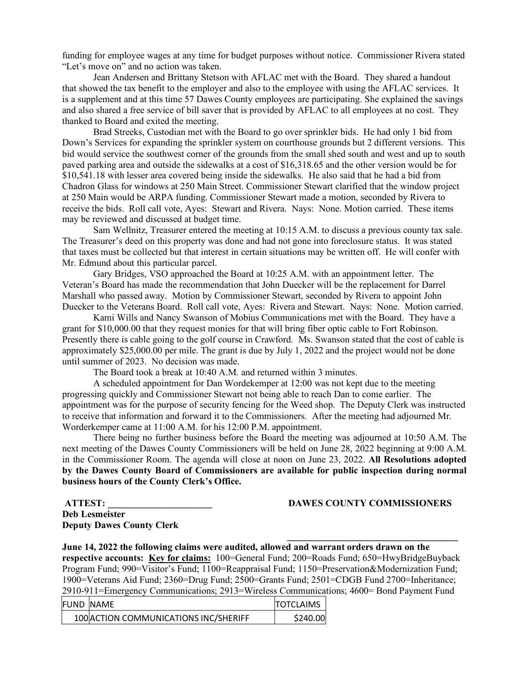funding for employee wages at any time for budget purposes without notice. Commissioner Rivera stated "Let's move on" and no action was taken.

Jean Andersen and Brittany Stetson with AFLAC met with the Board. They shared a handout that showed the tax benefit to the employer and also to the employee with using the AFLAC services. It is a supplement and at this time 57 Dawes County employees are participating. She explained the savings and also shared a free service of bill saver that is provided by AFLAC to all employees at no cost. They thanked to Board and exited the meeting.

Brad Streeks, Custodian met with the Board to go over sprinkler bids. He had only 1 bid from Down's Services for expanding the sprinkler system on courthouse grounds but 2 different versions. This bid would service the southwest corner of the grounds from the small shed south and west and up to south paved parking area and outside the sidewalks at a cost of \$16,318.65 and the other version would be for \$10,541.18 with lesser area covered being inside the sidewalks. He also said that he had a bid from Chadron Glass for windows at 250 Main Street. Commissioner Stewart clarified that the window project at 250 Main would be ARPA funding. Commissioner Stewart made a motion, seconded by Rivera to receive the bids. Roll call vote, Ayes: Stewart and Rivera. Nays: None. Motion carried. These items may be reviewed and discussed at budget time.

Sam Wellnitz, Treasurer entered the meeting at 10:15 A.M. to discuss a previous county tax sale. The Treasurer's deed on this property was done and had not gone into foreclosure status. It was stated that taxes must be collected but that interest in certain situations may be written off. He will confer with Mr. Edmund about this particular parcel.

Gary Bridges, VSO approached the Board at 10:25 A.M. with an appointment letter. The Veteran's Board has made the recommendation that John Duecker will be the replacement for Darrel Marshall who passed away. Motion by Commissioner Stewart, seconded by Rivera to appoint John Duecker to the Veterans Board. Roll call vote, Ayes: Rivera and Stewart. Nays: None. Motion carried.

Kami Wills and Nancy Swanson of Mobius Communications met with the Board. They have a grant for \$10,000.00 that they request monies for that will bring fiber optic cable to Fort Robinson. Presently there is cable going to the golf course in Crawford. Ms. Swanson stated that the cost of cable is approximately \$25,000.00 per mile. The grant is due by July 1, 2022 and the project would not be done until summer of 2023. No decision was made.

The Board took a break at 10:40 A.M. and returned within 3 minutes.

A scheduled appointment for Dan Wordekemper at 12:00 was not kept due to the meeting progressing quickly and Commissioner Stewart not being able to reach Dan to come earlier. The appointment was for the purpose of security fencing for the Weed shop. The Deputy Clerk was instructed to receive that information and forward it to the Commissioners. After the meeting had adjourned Mr. Worderkemper came at 11:00 A.M. for his 12:00 P.M. appointment.

There being no further business before the Board the meeting was adjourned at 10:50 A.M. The next meeting of the Dawes County Commissioners will be held on June 28, 2022 beginning at 9:00 A.M. in the Commissioner Room. The agenda will close at noon on June 23, 2022. **All Resolutions adopted by the Dawes County Board of Commissioners are available for public inspection during normal business hours of the County Clerk's Office.**

**Deb Lesmeister Deputy Dawes County Clerk** 

**ATTEST: DAWES COUNTY COMMISSIONERS** 

**June 14, 2022 the following claims were audited, allowed and warrant orders drawn on the respective accounts: Key for claims:** 100=General Fund; 200=Roads Fund; 650=HwyBridgeBuyback Program Fund; 990=Visitor's Fund; 1100=Reappraisal Fund; 1150=Preservation&Modernization Fund; 1900=Veterans Aid Fund; 2360=Drug Fund; 2500=Grants Fund; 2501=CDGB Fund 2700=Inheritance; 2910-911=Emergency Communications; 2913=Wireless Communications; 4600= Bond Payment Fund

 $\overline{\phantom{a}}$ 

| <b>FUND NAME</b> |                                       | <b>TOTCLAIMS</b> |
|------------------|---------------------------------------|------------------|
|                  | 100 ACTION COMMUNICATIONS INC/SHERIFF | \$240.00         |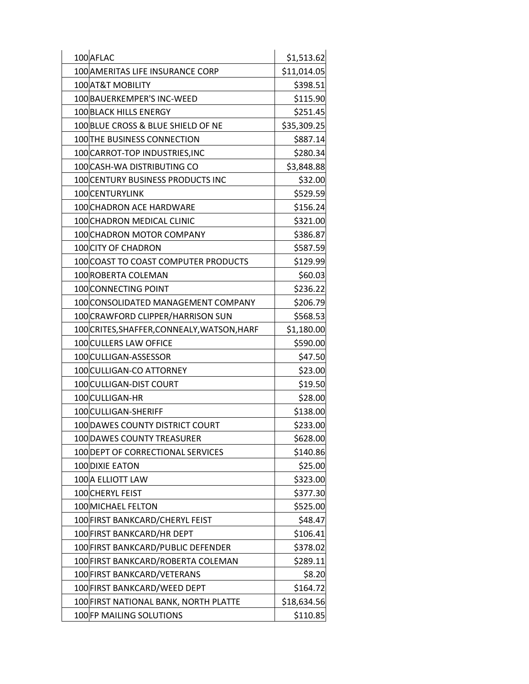| 100 AFLAC                                   | \$1,513.62  |
|---------------------------------------------|-------------|
| 100 AMERITAS LIFE INSURANCE CORP            | \$11,014.05 |
| 100 AT&T MOBILITY                           | \$398.51    |
| 100 BAUERKEMPER'S INC-WEED                  | \$115.90    |
| <b>100 BLACK HILLS ENERGY</b>               | \$251.45    |
| 100 BLUE CROSS & BLUE SHIELD OF NE          | \$35,309.25 |
| 100 THE BUSINESS CONNECTION                 | \$887.14    |
| 100 CARROT-TOP INDUSTRIES, INC              | \$280.34    |
| 100 CASH-WA DISTRIBUTING CO                 | \$3,848.88  |
| 100 CENTURY BUSINESS PRODUCTS INC           | \$32.00     |
| 100 CENTURYLINK                             | \$529.59    |
| 100 CHADRON ACE HARDWARE                    | \$156.24    |
| 100 CHADRON MEDICAL CLINIC                  | \$321.00    |
| 100 CHADRON MOTOR COMPANY                   | \$386.87    |
| 100 CITY OF CHADRON                         | \$587.59    |
| 100 COAST TO COAST COMPUTER PRODUCTS        | \$129.99    |
| 100 ROBERTA COLEMAN                         | \$60.03     |
| 100 CONNECTING POINT                        | \$236.22    |
| 100 CONSOLIDATED MANAGEMENT COMPANY         | \$206.79    |
| 100 CRAWFORD CLIPPER/HARRISON SUN           | \$568.53    |
| 100 CRITES, SHAFFER, CONNEALY, WATSON, HARF | \$1,180.00  |
| 100 CULLERS LAW OFFICE                      | \$590.00    |
| 100 CULLIGAN-ASSESSOR                       | \$47.50     |
| 100 CULLIGAN-CO ATTORNEY                    | \$23.00     |
| 100 CULLIGAN-DIST COURT                     | \$19.50     |
| 100 CULLIGAN-HR                             | \$28.00     |
| 100 CULLIGAN-SHERIFF                        | \$138.00    |
| 100 DAWES COUNTY DISTRICT COURT             | \$233.00    |
| 100 DAWES COUNTY TREASURER                  | \$628.00    |
| 100 DEPT OF CORRECTIONAL SERVICES           | \$140.86    |
| 100 DIXIE EATON                             | \$25.00     |
| 100 A ELLIOTT LAW                           | \$323.00    |
| 100 CHERYL FEIST                            | \$377.30    |
| 100 MICHAEL FELTON                          | \$525.00    |
| 100 FIRST BANKCARD/CHERYL FEIST             | \$48.47     |
| 100 FIRST BANKCARD/HR DEPT                  | \$106.41    |
| 100 FIRST BANKCARD/PUBLIC DEFENDER          | \$378.02    |
| 100 FIRST BANKCARD/ROBERTA COLEMAN          | \$289.11    |
| 100 FIRST BANKCARD/VETERANS                 | \$8.20      |
| 100 FIRST BANKCARD/WEED DEPT                | \$164.72    |
| 100 FIRST NATIONAL BANK, NORTH PLATTE       | \$18,634.56 |
| 100 FP MAILING SOLUTIONS                    | \$110.85    |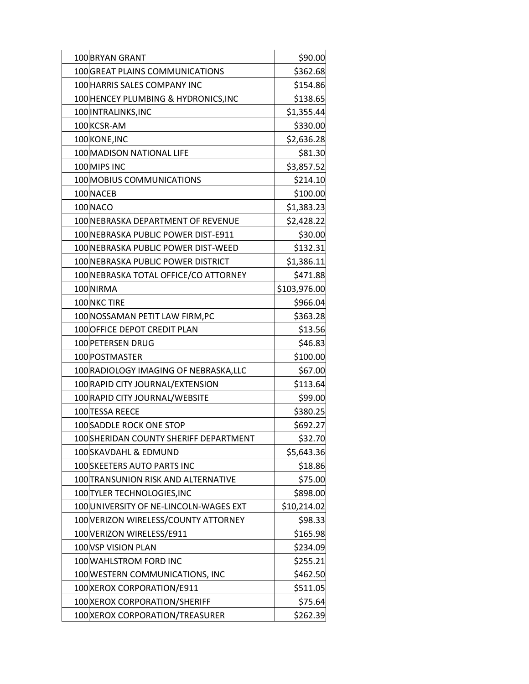| 100 BRYAN GRANT                        | \$90.00      |
|----------------------------------------|--------------|
| 100 GREAT PLAINS COMMUNICATIONS        | \$362.68     |
| 100 HARRIS SALES COMPANY INC           | \$154.86     |
| 100 HENCEY PLUMBING & HYDRONICS, INC   | \$138.65     |
| 100 INTRALINKS, INC                    | \$1,355.44   |
| 100 KCSR-AM                            | \$330.00     |
| 100 KONE, INC                          | \$2,636.28   |
| 100 MADISON NATIONAL LIFE              | \$81.30      |
| 100 MIPS INC                           | \$3,857.52   |
| 100 MOBIUS COMMUNICATIONS              | \$214.10     |
| 100 NACEB                              | \$100.00     |
| 100 NACO                               | \$1,383.23   |
| 100 NEBRASKA DEPARTMENT OF REVENUE     | \$2,428.22   |
| 100 NEBRASKA PUBLIC POWER DIST-E911    | \$30.00      |
| 100 NEBRASKA PUBLIC POWER DIST-WEED    | \$132.31     |
| 100 NEBRASKA PUBLIC POWER DISTRICT     | \$1,386.11   |
| 100 NEBRASKA TOTAL OFFICE/CO ATTORNEY  | \$471.88     |
| 100 NIRMA                              | \$103,976.00 |
| 100 NKC TIRE                           | \$966.04     |
| 100 NOSSAMAN PETIT LAW FIRM, PC        | \$363.28     |
| 100 OFFICE DEPOT CREDIT PLAN           | \$13.56      |
| 100 PETERSEN DRUG                      | \$46.83      |
| 100 POSTMASTER                         | \$100.00     |
| 100 RADIOLOGY IMAGING OF NEBRASKA, LLC | \$67.00      |
| 100 RAPID CITY JOURNAL/EXTENSION       | \$113.64     |
| 100 RAPID CITY JOURNAL/WEBSITE         | \$99.00      |
| 100 TESSA REECE                        | \$380.25     |
| 100 SADDLE ROCK ONE STOP               | \$692.27     |
| 100SHERIDAN COUNTY SHERIFF DEPARTMENT  | \$32.70      |
| 100 SKAVDAHL & EDMUND                  | \$5,643.36   |
| 100 SKEETERS AUTO PARTS INC            | \$18.86      |
| 100 TRANSUNION RISK AND ALTERNATIVE    | \$75.00      |
| 100 TYLER TECHNOLOGIES, INC            | \$898.00     |
| 100 UNIVERSITY OF NE-LINCOLN-WAGES EXT | \$10,214.02  |
| 100 VERIZON WIRELESS/COUNTY ATTORNEY   | \$98.33      |
| 100 VERIZON WIRELESS/E911              | \$165.98     |
| 100 VSP VISION PLAN                    | \$234.09     |
| 100 WAHLSTROM FORD INC                 | \$255.21     |
| 100 WESTERN COMMUNICATIONS, INC        | \$462.50     |
| 100 XEROX CORPORATION/E911             | \$511.05     |
| 100 XEROX CORPORATION/SHERIFF          | \$75.64      |
| 100 XEROX CORPORATION/TREASURER        | \$262.39     |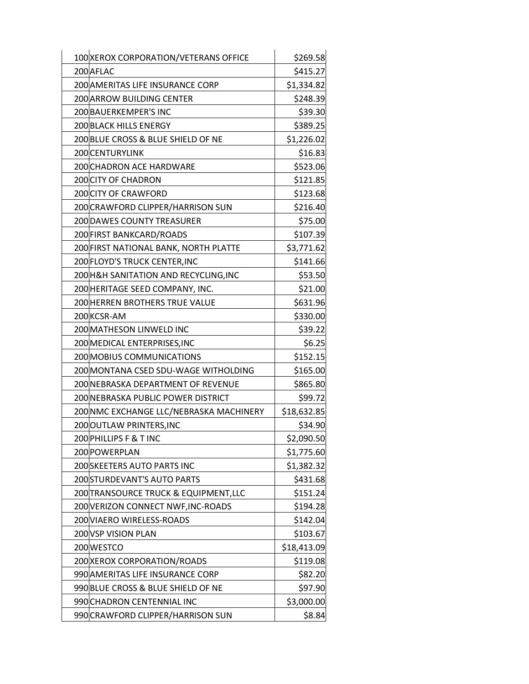| 100 XEROX CORPORATION/VETERANS OFFICE   | \$269.58    |
|-----------------------------------------|-------------|
| 200 AFLAC                               | \$415.27    |
| 200 AMERITAS LIFE INSURANCE CORP        | \$1,334.82  |
| 200 ARROW BUILDING CENTER               | \$248.39    |
| 200 BAUERKEMPER'S INC                   | \$39.30     |
| 200 BLACK HILLS ENERGY                  | \$389.25    |
| 200 BLUE CROSS & BLUE SHIELD OF NE      | \$1,226.02  |
| 200 CENTURYLINK                         | \$16.83     |
| 200 CHADRON ACE HARDWARE                | \$523.06    |
| 200 CITY OF CHADRON                     | \$121.85    |
| <b>200 CITY OF CRAWFORD</b>             | \$123.68    |
| 200 CRAWFORD CLIPPER/HARRISON SUN       | \$216.40    |
| 200 DAWES COUNTY TREASURER              | \$75.00     |
| 200 FIRST BANKCARD/ROADS                | \$107.39    |
| 200 FIRST NATIONAL BANK, NORTH PLATTE   | \$3,771.62  |
| 200 FLOYD'S TRUCK CENTER, INC           | \$141.66    |
| 200 H&H SANITATION AND RECYCLING, INC   | \$53.50     |
| 200 HERITAGE SEED COMPANY, INC.         | \$21.00     |
| 200 HERREN BROTHERS TRUE VALUE          | \$631.96    |
| 200 KCSR-AM                             | \$330.00    |
| 200 MATHESON LINWELD INC                | \$39.22     |
| 200 MEDICAL ENTERPRISES, INC            | \$6.25      |
| 200 MOBIUS COMMUNICATIONS               | \$152.15    |
| 200 MONTANA CSED SDU-WAGE WITHOLDING    | \$165.00    |
| 200 NEBRASKA DEPARTMENT OF REVENUE      | \$865.80    |
| 200 NEBRASKA PUBLIC POWER DISTRICT      | \$99.72     |
| 200 NMC EXCHANGE LLC/NEBRASKA MACHINERY | \$18,632.85 |
| 200 OUTLAW PRINTERS, INC                | \$34.90     |
| 200 PHILLIPS F & T INC                  | \$2,090.50  |
| 200 POWERPLAN                           | \$1,775.60  |
| 200 SKEETERS AUTO PARTS INC             | \$1,382.32  |
| 200 STURDEVANT'S AUTO PARTS             | \$431.68    |
| 200 TRANSOURCE TRUCK & EQUIPMENT, LLC   | \$151.24    |
| 200 VERIZON CONNECT NWF, INC-ROADS      | \$194.28    |
| 200 VIAERO WIRELESS-ROADS               | \$142.04    |
| 200 VSP VISION PLAN                     | \$103.67    |
| 200 WESTCO                              | \$18,413.09 |
| 200 XEROX CORPORATION/ROADS             | \$119.08    |
| 990 AMERITAS LIFE INSURANCE CORP        | \$82.20     |
| 990 BLUE CROSS & BLUE SHIELD OF NE      | \$97.90     |
| 990 CHADRON CENTENNIAL INC              | \$3,000.00  |
| 990 CRAWFORD CLIPPER/HARRISON SUN       | \$8.84      |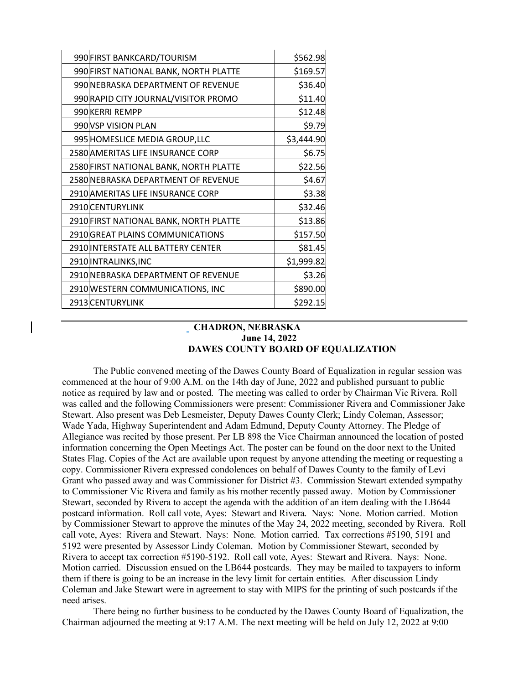| 990 FIRST BANKCARD/TOURISM             | \$562.98   |
|----------------------------------------|------------|
| 990 FIRST NATIONAL BANK, NORTH PLATTE  | \$169.57   |
| 990 NEBRASKA DEPARTMENT OF REVENUE     | \$36.40    |
| 990 RAPID CITY JOURNAL/VISITOR PROMO   | \$11.40    |
| 990 KERRI REMPP                        | \$12.48    |
| 990 VSP VISION PLAN                    | \$9.79     |
| 995 HOMESLICE MEDIA GROUP, LLC         | \$3,444.90 |
| 2580 AMERITAS LIFE INSURANCE CORP      | \$6.75     |
| 2580 FIRST NATIONAL BANK, NORTH PLATTE | \$22.56    |
| 2580 NEBRASKA DEPARTMENT OF REVENUE    | \$4.67     |
| 2910 AMERITAS LIFE INSURANCE CORP      | \$3.38     |
| 2910 CENTURYLINK                       | \$32.46    |
| 2910 FIRST NATIONAL BANK, NORTH PLATTE | \$13.86    |
| 2910 GREAT PLAINS COMMUNICATIONS       | \$157.50   |
| 2910 INTERSTATE ALL BATTERY CENTER     | \$81.45    |
| 2910 INTRALINKS, INC                   | \$1,999.82 |
| 2910 NEBRASKA DEPARTMENT OF REVENUE    | \$3.26     |
| 2910 WESTERN COMMUNICATIONS, INC       | \$890.00   |
| 2913 CENTURYLINK                       | \$292.15   |

## **CHADRON, NEBRASKA June 14, 2022 DAWES COUNTY BOARD OF EQUALIZATION**

The Public convened meeting of the Dawes County Board of Equalization in regular session was commenced at the hour of 9:00 A.M. on the 14th day of June, 2022 and published pursuant to public notice as required by law and or posted. The meeting was called to order by Chairman Vic Rivera. Roll was called and the following Commissioners were present: Commissioner Rivera and Commissioner Jake Stewart. Also present was Deb Lesmeister, Deputy Dawes County Clerk; Lindy Coleman, Assessor; Wade Yada, Highway Superintendent and Adam Edmund, Deputy County Attorney. The Pledge of Allegiance was recited by those present. Per LB 898 the Vice Chairman announced the location of posted information concerning the Open Meetings Act. The poster can be found on the door next to the United States Flag. Copies of the Act are available upon request by anyone attending the meeting or requesting a copy. Commissioner Rivera expressed condolences on behalf of Dawes County to the family of Levi Grant who passed away and was Commissioner for District #3. Commission Stewart extended sympathy to Commissioner Vic Rivera and family as his mother recently passed away. Motion by Commissioner Stewart, seconded by Rivera to accept the agenda with the addition of an item dealing with the LB644 postcard information. Roll call vote, Ayes: Stewart and Rivera. Nays: None. Motion carried. Motion by Commissioner Stewart to approve the minutes of the May 24, 2022 meeting, seconded by Rivera. Roll call vote, Ayes: Rivera and Stewart. Nays: None. Motion carried. Tax corrections #5190, 5191 and 5192 were presented by Assessor Lindy Coleman. Motion by Commissioner Stewart, seconded by Rivera to accept tax correction #5190-5192. Roll call vote, Ayes: Stewart and Rivera. Nays: None. Motion carried. Discussion ensued on the LB644 postcards. They may be mailed to taxpayers to inform them if there is going to be an increase in the levy limit for certain entities. After discussion Lindy Coleman and Jake Stewart were in agreement to stay with MIPS for the printing of such postcards if the need arises.

There being no further business to be conducted by the Dawes County Board of Equalization, the Chairman adjourned the meeting at 9:17 A.M. The next meeting will be held on July 12, 2022 at 9:00